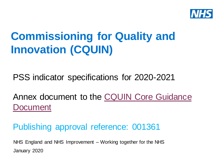

# **Commissioning for Quality and Innovation (CQUIN)**

PSS indicator specifications for 2020-2021

[Annex document to the CQUIN Core Guidance](https://www.england.nhs.uk/publication/commissioning-for-quality-and-innovation-cquin-guidance-for-2020-2021/)  **Document** 

Publishing approval reference: 001361

January 2020 NHS England and NHS Improvement – Working together for the NHS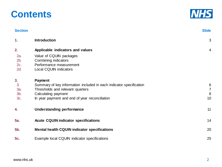| 3c. | In year payment and end of year reconciliation      |
|-----|-----------------------------------------------------|
|     | Understanding performance                           |
| 5a. | <b>Acute CQUIN indicator specifications</b>         |
| 5b. | <b>Mental health CQUIN indicator specifications</b> |
| 5c. | Example local CQUIN indicator specifications        |

| 2.  | Applicable indicators and values                                    | 4               |
|-----|---------------------------------------------------------------------|-----------------|
| 2a. | Value of CQUIN packages                                             |                 |
| 2b. | Combining indicators                                                |                 |
| 2c. | Performance measurement                                             |                 |
| 2d. | <b>Local CQUIN indicators</b>                                       |                 |
| 3.  | Payment                                                             |                 |
| 3.  | Summary of key information included in each indicator specification | 6               |
| 3a. | Thresholds and relevant quarters                                    | $\overline{7}$  |
| 3b. | Calculating payment                                                 | 8               |
| 3c. | In year payment and end of year reconciliation                      | 10 <sup>1</sup> |
| 4.  | <b>Understanding performance</b>                                    | 11              |
| 5a. | <b>Acute CQUIN indicator specifications</b>                         | 14              |
|     |                                                                     |                 |

**Section Slide**

**1. Introduction** 3



14

20

25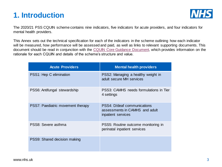## **1. Introduction**



The 2020/21 PSS CQUIN scheme contains nine indicators, five indicators for acute providers, and four indicators for mental health providers.

This Annex sets out the technical specification for each of the indicators in the scheme outlining how each indicator will be measured, how performance will be assessed and paid, as well as links to relevant supporting documents. This document should be read in conjunction with the [CQUIN Core Guidance Document,](https://www.england.nhs.uk/publication/commissioning-for-quality-and-innovation-cquin-guidance-for-2020-2021/) which provides information on the rationale for each CQUIN and details of the scheme's structure and value.

| <b>Acute Providers</b>            | <b>Mental health providers</b>                                                      |
|-----------------------------------|-------------------------------------------------------------------------------------|
| PSS1: Hep C elimination           | PSS2: Managing a healthy weight in<br>adult secure MH services                      |
| PSS6: Antifungal stewardship      | PSS3: CAMHS needs formulations in Tier<br>4 settings                                |
| PSS7: Paediatric movement therapy | PSS4: D/deaf communications<br>assessments in CAMHS and adult<br>inpatient services |
| PSS8: Severe asthma               | PSS5: Routine outcome monitoring in<br>perinatal inpatient services                 |
| PSS9: Shared decision making      |                                                                                     |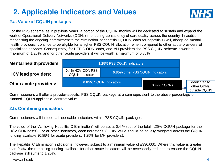# **2. Applicable Indicators and Values**



#### **2.a. Value of CQUIN packages**

For the PSS scheme, as in previous years, a portion of the CQUIN monies will be dedicated to sustain and expand the work of Operational Delivery Networks (ODNs) in ensuring consistency of care quality across the country. In addition, recognising the ongoing commitment to the elimination of hepatitis C, ODN leads for hepatitis C will, alongside mental health providers, continue to be eligible for a higher PSS CQUIN allocation when compared to other acute providers of specialised services. Consequently, for HEP C ODN leads, and MH providers the PSS CQUIN scheme is worth a maximum of 1.25%, and for other acute providers it will be worth a maximum of 0.85%.



Commissioners will offer a provider-specific PSS CQUIN package at a sum equivalent to the above percentage of planned CQUIN-applicable contract value.

#### **2.b. Combining indicators**

Commissioners will include **all** applicable indicators within PSS CQUIN packages.

The value of the "Achieving Hepatitis C Elimination" will be set at 0.4 % (out of the total 1.25% CQUIN package for the HCV ODN hosts). For all other indicators, each indicator's CQUIN value should be equally weighted across the CQUIN funding available (0.85% for acute providers, 1.25% for MH providers).

The Hepatitis C Elimination indicator is, however, subject to a minimum value of £330,000. Where this value is greater than 0.4%, the remaining funding available for other acute indicators will be necessarily reduced to ensure the CQUIN package still sums to 1.25%.

www.nhs.uk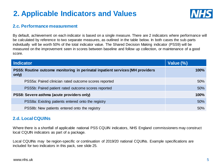# **2. Applicable Indicators and Values**



#### **2.c. Performance measurement**

By default, achievement on each indicator is based on a single measure. There are 2 indicators where performance will be calculated by reference to two separate measures, as outlined in the table below. In both cases the sub-parts individually will be worth 50% of the total indicator value. The Shared Decision Making indicator (PSS9) will be measured on the improvement seen in scores between baseline and follow up collection, or maintenance of a good score.

| <b>Indicator</b>                                                                        | Value (%) |
|-----------------------------------------------------------------------------------------|-----------|
| PSS5: Routine outcome monitoring in perinatal inpatient services (MH providers<br>only) | 100%      |
| PSS5a: Paired clinician rated outcome scores reported                                   | 50%       |
| PSS5b: Paired patient rated outcome scores reported                                     | 50%       |
| PSS8: Severe asthma (acute providers only)                                              | 100%      |
| PSS8a: Existing patients entered onto the registry                                      | 50%       |
| PSS8b: New patients entered onto the registry                                           | 50%       |

#### **2.d. Local CQUINs**

Where there is a shortfall of applicable national PSS CQUIN indicators, NHS England commissioners may construct local CQUIN indicators as part of a package.

Local CQUINs may be region-specific or continuation of 2019/20 national CQUINs. Example specifications are included for two indicators in this pack, see slide 25.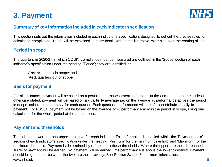# **3. Payment**



#### **Summary of key information included in each indicator specification**

This section sets out the information included in each indicator's specification, designed to set out the precise rules for calculating compliance. These will be explained in more detail, with some illustrative examples over the coming slides.

#### **Period in scope**

The quarters in 2020/21 in which CQUIN compliance must be measured are outlined in the 'Scope' section of each indicator's specification under the heading 'Period'; they are identified as:

- **i. Green: quarters in scope; and,**
- **ii. Red:** quarters out of scope.

#### **Basis for payment**

For all indicators, payment will be based on a performance assessment undertaken at the end of the scheme. Unless otherwise stated, payment will be based on a **quarterly average i.e.** on the average % performance across the period in scope, calculated separately for each quarter. Each quarter's performance will therefore contribute equally to payment. For PSS8a, payment will be based on the average of % performance across the period in scope, using one calculation for the whole period at the scheme end.

#### **Payment and thresholds**

www.nhs.uk 6 There is one lower and one upper threshold for each indicator. This information is detailed within the 'Payment basis' section of each indicator's specification under the heading 'Minimum' for the minimum threshold and 'Maximum' for the maximum threshold. Payment is determined by reference to these thresholds. Where the upper threshold is reached, 100% of payment will be earned. No payment will be earned until performance is above the lower threshold. Payment should be graduated between the two thresholds evenly. See Section 3a and 3b for more information.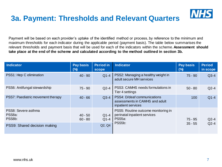

Payment will be based on each provider's uptake of the identified method or process, by reference to the minimum and maximum thresholds for each indicator during the applicable period (payment basis). The table below summarises the relevant thresholds and payment basis that will be used for each of the indicators within the scheme. **Assessment should take place at the end of the scheme and calculated according to the method outlined in section 3b.**

| <b>Indicator</b>                        | Pay basis<br>$(\%)$    | <b>Period in</b><br>scope | <b>Indicator</b>                                                                    | <b>Pay basis</b><br>$(\%)$ | <b>Period</b><br>in scope |
|-----------------------------------------|------------------------|---------------------------|-------------------------------------------------------------------------------------|----------------------------|---------------------------|
| PSS1: Hep C elimination                 | $40 - 90$              | $Q1-4$                    | PSS2: Managing a healthy weight in<br>adult secure MH services                      | $75 - 90$                  | $Q3-4$                    |
| PSS6: Antifungal stewardship            | $75 - 90$              | $Q2-4$                    | PSS3: CAMHS needs formulations in<br>Tier 4 settings                                | $50 - 80$                  | $Q2-4$                    |
| PSS7: Paediatric movement therapy       | $40 - 66$              | $Q3-4$                    | PSS4: D/deaf communications<br>assessments in CAMHS and adult<br>inpatient services | 100                        | $Q1-4$                    |
| PSS8: Severe asthma<br>PSS8a:<br>PSS8b: | $40 - 50$<br>$60 - 80$ | $Q1-4$<br>$Q1-4$          | PSS5: Routine outcome monitoring in<br>perinatal inpatient services<br>PSS5a:       | $75 - 95$                  | $Q2-4$                    |
| PSS9: Shared decision making            |                        | Q2, Q4                    | PSS <sub>5b</sub> :                                                                 | $35 - 55$                  | $Q2-4$                    |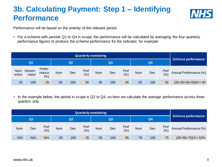# **3b. Calculating Payment: Step 1 – Identifying Performance**



Performance will be based on the entirety of the relevant period.

• For a scheme with periods Q1 to Q4 in scope, the performance will be calculated by averaging the four quarterly performance figures to produce the scheme performance for the indicator, for example:

| <b>Quarterly monitoring</b> |                      |                          |            |     |              |            |     |                |            |     |                    |                        |
|-----------------------------|----------------------|--------------------------|------------|-----|--------------|------------|-----|----------------|------------|-----|--------------------|------------------------|
|                             | Q2<br>Q <sub>1</sub> |                          |            |     | Q3           |            |     | Q <sub>4</sub> |            |     | Scheme performance |                        |
| Num-<br>erator              | Denom-<br>inator     | Perfor-<br>mance<br>(% ) | <b>Num</b> | Den | Perf<br>(% ) | <b>Num</b> | Den | Perf<br>(% )   | <b>Num</b> | Den | Perf<br>(% )       | Annual Performance (%) |
| 25                          | 100                  | 25 <sup>°</sup>          | 35         | 100 | 35           | 45         | 100 | 45             | 55         | 100 | 55                 | $(25+35+45+55)/4 = 40$ |

• In the example below, the period in scope is Q2 to Q4, so here we calculate the average performance across three quarters only.

|     | <b>Quarterly monitoring</b> |             |            |          |              |            |     |                |            |                    |             |                        |
|-----|-----------------------------|-------------|------------|----------|--------------|------------|-----|----------------|------------|--------------------|-------------|------------------------|
|     | Q <sub>1</sub>              |             |            | Q2<br>Q3 |              |            |     | Q <sub>4</sub> |            | Scheme performance |             |                        |
| Num | Den                         | Perf<br>(%) | <b>Num</b> | Den      | Perf<br>(% ) | <b>Num</b> | Den | Perf<br>(% )   | <b>Num</b> | Den                | Perf<br>(%) | Annual Performance (%) |
| N/A | N/A                         | N/A         | 25         | 100      | 25           | 55         | 100 | 55             | 75         | 100                | 75          | $(25+55+75)/3=52\%$    |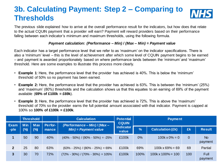# **3b. Calculating Payment: Step 2 – Comparing to Thresholds**



The previous slide explained how to arrive at the overall performance result for the indicators, but how does that relate to the actual CQUIN payment that a provider will earn? Payment will reward providers based on their performance falling between each indicator's minimum and maximum thresholds, using the following formula.

#### *Payment calculation: (Performance – Min) / (Max – Min) = Payment value*

Each indicator has a target performance level that we refer to as 'maximum' on the indicator specifications. There is also a 'minimum' level – this is the level of achievement after which some level of CQUIN payment begins to be earned – and payment is awarded proportionately based on where performance lands between the 'minimum' and 'maximum' threshold. Here are some examples to illustrate this process more clearly.

- **Example 1**: Here, the performance level that the provider has achieved is 40%. This is below the 'minimum' threshold of 50% so no payment has been earned.
- **Example 2:** Here, the performance level that the provider has achieved is 63%. This is between the 'minimum' (25%) and 'maximum' (80%) thresholds and the calculation shows us that this equates to an earning of 69% of the payment available (**69% of £100k = £69k**).
- **Example 3:** Here, the performance level that the provider has achieved is 72%. This is above the 'maximum' threshold of 70% so the provider earns the full potential amount associated with that indicator. Payment is capped at 100% so **100% of £100k = £100k**.

|                     |                    | <b>Threshold</b>     |                  | <b>Calculation</b>                                    | <b>Potential</b>                   | <b>Payment</b> |                           |                |                           |  |  |
|---------------------|--------------------|----------------------|------------------|-------------------------------------------------------|------------------------------------|----------------|---------------------------|----------------|---------------------------|--|--|
| <b>Exam</b><br>-ple | <b>M</b> in<br>(%) | <b>Max</b><br>$(\%)$ | Perfor-<br>mance | (Performance - Min) / (Max -<br>$Min$ = Payment value | <b>CQUIN</b><br>indicator<br>value | $\frac{1}{2}$  | <b>Calculation (£k)</b>   | £k             | <b>Result</b>             |  |  |
|                     | 50                 | 90                   | 40%              | $(40\% - 50\%) / (90\% - 50\%) = -25\%$               | £100k                              | $0\%$          | $100k \times 0\% = 0$     | $\overline{0}$ | N <sub>o</sub><br>payment |  |  |
| $\overline{2}$      | 25                 | 80                   | 63%              | $(63\% - 25\%) / (80\% - 25\%) = 69\%$                | £100k                              | 69%            | $100k \times 69\% = 69$   | 69             | Partial                   |  |  |
| $\overline{3}$      | 30                 | 70                   | 72%              | $(72\% - 30\%) / (70\% - 30\%) = 105\%$               | £100k                              | 100%           | $100k \times 100\% = 100$ | 100            | Full<br>payment           |  |  |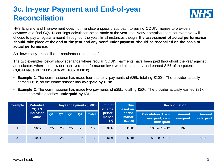# **3c. In-year Payment and End-of-year Reconciliation**



NHS England and Improvement does not mandate a specific approach to paying CQUIN monies to providers in advance of a final CQUIN earnings calculation being made at the year end. Many commissioners, for example, will choose to pay a regular amount throughout the year. In all instances though, **the assessment of actual performance should take place at the end of the year and any over/ under payment should be reconciled on the basis of actual performance**.

So, how is any reconciliation requirement assessed?

The two examples below show scenarios where regular CQUIN payments have been paid throughout the year against an indicator, where the provider achieved a performance level which meant they had earned 81% of the potential CQUIN value of £100k (**81% of £100k = £81k**).

- **Example 1**: The commissioner has made four quarterly payments of £25k, totalling £100k. The provider actually earned £81k, so the commissioner has **overpaid by £19k**.
- **Example 2**: The commissioner has made two payments of £25k, totalling £50k. The provider actually earned £81k, so the commissioner has **underpaid by £31k**.

| Example        | <b>Potential</b><br><b>CQUIN</b> | End of<br>In-year payments (£,000)<br>scheme | <b>Due</b><br>based on | <b>Reconciliation</b> |                |              |                            |                             |                                                         |                           |                            |
|----------------|----------------------------------|----------------------------------------------|------------------------|-----------------------|----------------|--------------|----------------------------|-----------------------------|---------------------------------------------------------|---------------------------|----------------------------|
|                | indicator<br>value               | Q <sub>1</sub>                               | Q2                     | Q3                    | Q <sub>4</sub> | <b>Total</b> | perfor-<br>mance<br>$(\%)$ | perfor-<br>mance<br>(E,000) | Calculation (+ $ve =$<br>overpaid, $-ve =$<br>underpaid | <b>Amount</b><br>overpaid | <b>Amount</b><br>underpaid |
|                | £100k                            | 25                                           | 25                     | 25                    | 25             | 100          | 81%                        | £81k                        | $100 - 81 = 19$                                         | £19k                      |                            |
| $\overline{2}$ | £100k                            |                                              | 25                     |                       | 25             | 50           | 81%                        | £81k                        | $50 - 81 = -31$                                         |                           | £31k                       |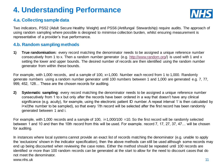# **4. Understanding Performance**



#### **4.a. Collecting sample data**

Two indicators, PSS2 (Adult Secure Healthy Weight) and PSS6 (Antifungal Stewardship) require audits. The approach of using random sampling where possible is designed to minimise collection burden, whilst ensuring measurement is representative of a provider's true performance.

#### **4.b. Random sampling methods**

**1) True randomisation:** every record matching the denominator needs to be assigned a unique reference number consecutively from 1 to x. Then a random number generator (e.g. [http://www.random.org](http://www.random.org/)/) is used with 1 and x setting the lower and upper bounds. The desired number of records are then identified using the random number generator from within these bounds.

For example, with 1,000 records, and a sample of 100,  $x=1,000$ . Number each record from 1 to 1,000. Randomly generate numbers using a random number generator until 100 numbers between 1 and 1,000 are generated e.g. 7, 77, 999, 452, 128… These are the chosen records for auditing.

**2) Systematic sampling**: every record matching the denominator needs to be assigned a unique reference number consecutively from 1 to x but only after the records have been ordered in a way that doesn't have any clinical significance (e.g. acuity), for example, using the electronic patient ID number. A repeat interval 'i' is then calculated by i=x/(the number to be sampled), so that every 'i'th record will be selected after the first record has been randomly generated between 1 and i.

For example, with 1,000 records and a sample of 100,  $i=1,000/100 = 10$ . So the first record will be randomly selected between 1 and 10 and then the 10th record from this will be used. For example. record 7, 17, 27, 37, 47… will be chosen for auditing.

www.nhs.uk 2008 and 2008 and 2008 and 2008 and 2008 and 2008 and 2008 and 2008 and 2008 and 2008 and 2008 and In instances where local systems cannot provide an exact list of records matching the denominator (e.g. unable to apply the 'exclusions' shown in the indicator specification), then the above methods can still be used although some records may end up being discounted when reviewing the case notes. Either the method should be repeated until 100 records are identified or more than 100 random records can be generated at the start to allow for the need to discount cases that do not meet the denominator.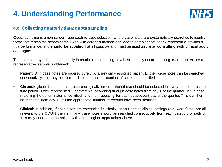# **4. Understanding Performance**



#### **4.c. Collecting quarterly data: quota sampling**

Quota sampling is a non-random approach to case selection, where case notes are systematically searched to identify those that match the denominator. Even with care this method can lead to samples that poorly represent a provider's true performance, and **should be avoided** if at all possible and must be used only after **consulting with clinical audit colleagues**.

The case note system adopted locally is crucial in determining how best to apply quota sampling in order to ensure a representative sample is obtained:

- **Patient ID**: If case notes are ordered purely by a randomly assigned patient ID then case notes can be searched consecutively from any position until the appropriate number of cases are identified.
- **Chronological:** If case notes are chronologically ordered then these should be selected in a way that ensures the time period is well represented. For example, searching through case notes from day 1 of the quarter until a case matching the denominator is identified, and then repeating for each subsequent day of the quarter. This can then be repeated from day 1 until the appropriate number of records have been identified.
- **Clinical:** In addition, if case notes are categorised clinically, or split across clinical settings (e.g. wards) that are all relevant to the CQUIN then, similarly, case notes should be searched consecutively from each category or setting. This may need to be combined with chronological approaches above.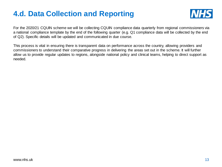# **4.d. Data Collection and Reporting**



For the 2020/21 CQUIN scheme we will be collecting CQUIN compliance data quarterly from regional commissioners via a national compliance template by the end of the following quarter (e.g. Q1 compliance data will be collected by the end of Q2). Specific details will be updated and communicated in due course.

This process is vital in ensuring there is transparent data on performance across the country, allowing providers and commissioners to understand their comparative progress in delivering the areas set out in the scheme. It will further allow us to provide regular updates to regions, alongside national policy and clinical teams, helping to direct support as needed.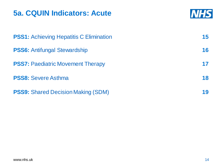# **5a. CQUIN Indicators: Acute**



| <b>PSS1:</b> Achieving Hepatitis C Elimination | 15 |
|------------------------------------------------|----|
| <b>PSS6: Antifungal Stewardship</b>            | 16 |
| <b>PSS7: Paediatric Movement Therapy</b>       | 17 |
| <b>PSS8: Severe Asthma</b>                     | 18 |
| <b>PSS9:</b> Shared Decision Making (SDM)      | 19 |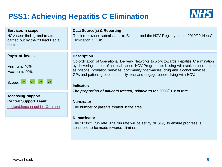# **PSS1: Achieving Hepatitis C Elimination**



| <b>Services in scope</b><br>HCV case finding and treatment,<br>carried out by the 23 lead Hep C<br>centres | Data Source(s) & Reporting<br>Routine provider submissions to Blueteq and the HCV Registry as per 2019/20 Hep C<br><b>Elimination CQUIN.</b>                                                                                                                                                                                                                             |
|------------------------------------------------------------------------------------------------------------|--------------------------------------------------------------------------------------------------------------------------------------------------------------------------------------------------------------------------------------------------------------------------------------------------------------------------------------------------------------------------|
|                                                                                                            |                                                                                                                                                                                                                                                                                                                                                                          |
| <b>Payment levels</b><br>Minimum: 40%<br>Maximum: 90%<br>Scope: $\sqrt{21}$<br> Q2 <br> Q3 <br>Q4          | <b>Description</b><br>Co-ordination of Operational Delivery Networks to work towards Hepatitis C elimination<br>by delivering an out of hospital-based HCV Programme, liaising with stakeholders such<br>as prisons, probation services, community pharmacies, drug and alcohol services,<br>GPs and patient groups to identify, test and engage people living with HCV. |
|                                                                                                            | Indicator:                                                                                                                                                                                                                                                                                                                                                               |
|                                                                                                            | The proportion of patients treated, relative to the 2020/21 run rate                                                                                                                                                                                                                                                                                                     |
| <b>Accessing support</b><br><b>Central Support Team:</b><br>england.hepc-enquiries@nhs.net                 | <b>Numerator</b><br>The number of patients treated in the area                                                                                                                                                                                                                                                                                                           |
|                                                                                                            | <b>Denominator</b>                                                                                                                                                                                                                                                                                                                                                       |
|                                                                                                            | The 2020/21 run rate. The run rate will be set by NHSE/I, to ensure progress is<br>continued to be made towards elimination.                                                                                                                                                                                                                                             |
|                                                                                                            |                                                                                                                                                                                                                                                                                                                                                                          |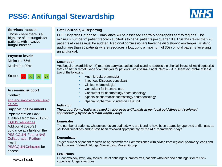# **PSS6: Antifungal Stewardship**



#### **Services in scope**

Those where there is a high use of antifungals for patients with invasive fungal infection

#### **Payment levels**

Minimum: 75% Maximum: 90%



#### **Accessing support**

**Contact** 

[england.improvingvalue@n](mailto:england.improvingvalue@nhs.net) hs.net

#### **Supporting Documents**

Implementation Pack available from the 2019/20 [CQUIN webpages.](https://www.england.nhs.uk/publication/pss1-meds-optimisation-pss-cquin-indicator/) Additional 2020/21 guidance available on the [PSS CQUIN Future NHS](https://future.nhs.uk/CQUINimp/view?objectID=17835888)  Collaboration Platform Email [PSSCQUIN@nhs.net](mailto:PSSCQUIN@nhs.net) for access

www.nhs.uk

#### **Data Source(s) & Reporting**

PHE Fingertips Database. Compliance will be assessed centrally and reports sent to regions. The minimum number of patient records audited is to be 20 patients per quarter. If a Trust has fewer than 20 patients all cases must be audited. Regional commissioners have the discretion to ask larger Trusts to audit more than 20 patients where resources allow, up to a maximum of 30% of total patients receiving an antifungal.

#### **Description**

Antifungal stewardship (AFS) teams to carry out patient audits and to address the shortfall in use of key diagnostics that can better target usage of antifungals for patients with invasive fungal infection. AFS teams to involve at least two of the following:

- Antimicrobial pharmacist
- Infectious Diseases consultant
- Clinical microbiologist
- Consultant for intensive care
- Consultant for haematology and/or oncology
- Specialist pharmacist haematology and/or oncology
- Specialist pharmacist intensive care unit

#### **Indicator:**

*The proportion of patients treated by approved antifungals as per local guidelines and reviewed appropriately by the AFS team within 7 days*

#### **Numerator**

The number of patients, whose records are audited, who are found to have been treated by approved antifungals as per local guidelines and to have been reviewed appropriately by the AFS team within 7 days

#### **Denominator**

Target number of patient records as agreed with the Commissioner, with advice from regional pharmacy leads and the Improving Value Antifungal Stewardship Project Group.

#### **Exclusions**

Fluconazole/nystatin, any topical use of antifungals, prophylaxis, patients who received antifungals for thrush /<br>superficial fungal infections superficial fungal infections.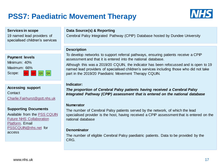# **PSS7: Paediatric Movement Therapy**



#### **Services in scope**

19 named lead providers of specialised children's services



**Accessing support Contact** [Charlie.Fairhurst@gstt.nhs.uk](mailto:Charlie.Fairhurst@gstt.nhs.uk)

#### **Supporting Documents**

[Available from the PSS CQUIN](https://future.nhs.uk/CQUINimp/view?objectID=17835888) Future NHS Collaboration Platform. Email [PSSCQUIN@nhs.net](mailto:PSSCQUIN@nhs.net) for access

#### **Data Source(s) & Reporting**

Cerebral Palsy Integrated Pathway (CPIP) Database hosted by Dundee University

#### **Description**

To develop networks to support referral pathways, ensuring patients receive a CPIP assessment and that it is entered into the national database.

Although this was a 2019/20 CQUIN, the indicator has been refocussed and is open to 19 named lead providers of specialised children's services including those who did not take part in the 2019/20 Paediatric Movement Therapy CQUIN.

#### **Indicator:**

*The proportion of Cerebral Palsy patients having received a Cerebral Palsy Integrated Pathway (CPIP) assessment that is entered on the national database*

#### **Numerator**

The number of Cerebral Palsy patients served by the network, of which the lead specialised provider is the host, having received a CPIP assessment that is entered on the national database

#### **Denominator**

The number of eligible Cerebral Palsy paediatric patients. Data to be provided by the CRG.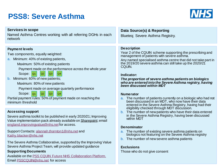# **PSS8: Severe Asthma**



| <b>Services in scope</b><br>Named Asthma Centres working with all referring DGHs in each<br>network                                                                                                                                                                                                                                                                                                                                                                                                                                                                       | Data Source(s) & Reporting<br>Blueteq; Severe Asthma Registry.                                                                                                                                                                                                                                                                                                                                                                                                                                                                                                                                                                          |
|---------------------------------------------------------------------------------------------------------------------------------------------------------------------------------------------------------------------------------------------------------------------------------------------------------------------------------------------------------------------------------------------------------------------------------------------------------------------------------------------------------------------------------------------------------------------------|-----------------------------------------------------------------------------------------------------------------------------------------------------------------------------------------------------------------------------------------------------------------------------------------------------------------------------------------------------------------------------------------------------------------------------------------------------------------------------------------------------------------------------------------------------------------------------------------------------------------------------------------|
| <b>Payment levels</b><br>Two components, equally weighted:<br>a. Minimum: 40% of existing patients,<br>Maximum: 50% of existing patients<br>Payment made on the performance across the whole year<br>Scope:   <sub>Q1</sub>  <br>Q2<br>Q4<br>Q3<br>b. Minimum: 60% of new patients;<br>Maximum: 80% of new patients<br>Payment made on average quarterly performance<br>Scope: $_{Q1}$<br>Q2<br> Q3 <br>Q <sub>4</sub><br>Partial payment rules: 50% of payment made on reaching the<br>minimum threshold                                                                 | <b>Description</b><br>Year 2 of the CQUIN scheme supporting the prescribing and<br>management of patients with severe asthma.<br>Any named specialised asthma centre that did not take part in<br>the 2019/20 severe asthma can still take up the 2020/21<br>CQUIN.<br>Indicator:<br>The proportion of severe asthma patients on biologics<br>who are entered into the Severe Asthma registry, having<br>been discussed within MDT<br><b>Numerator</b><br>a. The number of patients currently on a biologic who had not<br>been discussed in an MDT, who now have their data<br>entered in the Severe Asthma Registry, having had their |
| <b>Accessing support</b><br>Severe asthma toolkit to be published in early 2020/21; Improving<br>Value implementation pack already available on Sharepoint; email<br>england.improvingvalue@nhs.netfor access.<br>Support Contacts: alannah.thornton1@nhs.net and<br>Kathy.blacker@nhs.net<br>The Severe Asthma Collaborative, supported by the Improving Value<br>Severe Asthma Project Team, will provide updated guidance<br><b>Supporting Documents</b><br>Available on the <b>PSS CQUIN Future NHS Collaboration Platform</b> .<br>Email PSSCQUIN@nhs.net for access | eligibility checked through MDT discussion.<br>b. The number of new patients who have their data entered<br>in the Severe Asthma Registry, having been discussed<br>within MDT<br><b>Denominator</b><br>a. The number of existing severe asthma patients on<br>biologics not featuring on the Severe Asthma registry<br>b. The number of new severe asthma patients<br><b>Exclusions</b><br>Those who do not give consent                                                                                                                                                                                                               |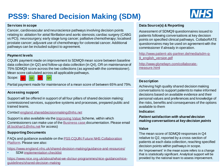# **PSS9: Shared Decision Making (SDM)**



#### **Services in scope**

Cancer, cardiovascular and neuroscience pathways involving decision points relating to: ablation for atrial fibrillation and aortic stenosis; cardiac surgery (CABG vs PCI); neurosurgery; early stage lung cancer; palliative chemotherapy; localised prostate cancer; adjuvant use of chemotherapy for colorectal cancer. Additional pathways can be included subject to agreement.

#### **Payment levels**

CQUIN payment made on improvement to SDMQ9 mean score between baseline data collection (in Q2) and follow-up data collection (in Q4), OR on maintenance of 75% SDMQ9 score across the two collections (as agreed with the commissioner). Mean score calculated across all applicable pathways.

Scope: |  $Q1$  Q2

Partial payment made for maintenance of a mean score of between 65% and 75%.

#### **Accessing support**

Support will be offered in support of all four pillars of shared decision making: commissioned services, supportive systems and processes, prepared public and trained teams.

Contact [england.shareddecisionmaking@nhs.net](mailto:england.shareddecisionmaking@nhs.net)

Support is also available via the **Improving Value Scheme**, within which Commissioners can make use of the [Business case](https://nhsengland.sharepoint.com/:w:/r/TeamCentre/Operations/SpecialisedCommissioning/TWA/Improving Value/3 16 17 Improving Value Programme/Improving Value Schemes/IV Schemes/Schemes for Local Implementation/Personalised Care/supportive documents/130619_Personalisation Business Case final 2.docx + cover paper.docx?d=w4af2038104a94ef7bdc810de4aa90432&csf=1&e=YViGOG) documentation. Please email [jill.lockhart1@nhs.net](mailto:jill.lockhart1@nhs.net) for access)

#### **Supporting Documents**

[FAQs and guidance available on the PSS CQUIN Future NHS Collaboration](https://future.nhs.uk/CQUINimp/view?objectID=17835888)  Platform. Please see also:

<https://www.england.nhs.uk/shared-decision-making/guidance-and-resources/>

• SDM [implementation checklist](https://www.england.nhs.uk/wp-content/uploads/2019/01/shared-decision-making-implementation-checklist.docx)

[https://www.nice.org.uk/about/what-we-do/our-programmes/nice-guidance/nice](https://www.nice.org.uk/about/what-we-do/our-programmes/nice-guidance/nice-guidelines/shared-decision-making)guidelines/shared-decision-making

#### **Data Source(s) & Reporting**

Assessment of SDMQ9 questionnaires issued to patients following conversations at key decision points on specified clinical pathways. CollaboRATE questionnaires may be used on agreement with the commissioner if already in operation.

[http://www.patient-als-partner.de/media/sdm-q-](http://www.patient-als-partner.de/media/sdm-q-9_english_version.pdf)9 english version.pdf

[http://www.glynelwyn.com/collaborate](http://www.glynelwyn.com/collaborate-measure.html)measure.html

#### **Description**

Achieving high quality shared decision making conversations to support patients to make informed decisions based on available evidence and their personal values and preferences and knowledge of the risks, benefits and consequences of the options available to them

**Indicator:** 

*Patient satisfaction with shared decision making conversations at key decision points*

#### **Value**

The mean score of SDMQ9 responses in Q4 relative to Q2, reported by a cross-section of patients at each data collection, reaching specified decision points within pathways in scope.

provided by the national team to assess improvement. An 'improvement' in the mean score refers to a change that is statistically significant. Analytical support will be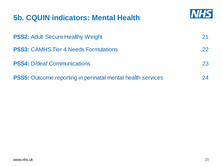# **NHS 5b. CQUIN indicators: Mental Health PSS2: Adult Secure Healthy Weight 21 and 21 and 21 and 21 and 21 and 21 and 21 and 21 and 21 and 21 and 21 and 21 and 21 and 21 and 21 and 21 and 21 and 22 and 22 and 22 and 22 and 22 and 22 and 22 and 22 and 22 and 22 an PSS3:** CAMHS Tier 4 Needs Formulations 22 **PSS4:** D/deaf Communications 23 **PSS5:** Outcome reporting in perinatal mental health services 24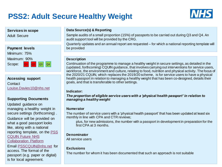# **PSS2: Adult Secure Healthy Weight**



#### **Services in scope**

Adult Secure



**Accessing support Contact** [Louise.Davies10@nhs.net](mailto:Louise.Davies10@nhs.net)

#### **Supporting Documents**

Updated guidance on managing a healthy weight in secure settings (forthcoming) . Guidance will be provided on what a good passport looks like, along with a national [reporting template, on the PSS](https://future.nhs.uk/CQUINimp/view?objectID=17835888) CQUIN Future NHS Collaboration Platform

is for local agreement. Email [PSSCQUIN@nhs.net](mailto:PSSCQUIN@nhs.net) for access. The format of the passport (e.g. paper or digital)

#### **Data Source(s) & Reporting**

Sample audits of a small proportion (15%) of passports to be carried out during Q3 and Q4. An audit support tool will be provided by the CRG.

Quarterly updates and an annual report are requested – for which a national reporting template will be provided

#### **Description**

Continuation of the programme to manage a healthy weight in secure settings, as detailed in the (updated, forthcoming) CQUIN guidance, that involves carrying out interventions for service users, workforce, the environment and culture, relating to food, nutrition and physical activity. The focus of the 2020/21 CQUIN, which replaces the 2019/20 scheme, is for service users to have a physical health passport in relation to managing a healthy weight that has been co-designed, details their goals, and that is transferable to other settings.

#### **Indicator:**

*The proportion of eligible service users with a 'physical health passport' in relation to managing a healthy weight*

#### **Numerator**

The number of service users with a 'physical health passport' that has been updated at least six monthly in line with CPA and CTR reviews;

plus, for new admissions, the number with a passport in development in preparation for the first CPA at 3 months.

#### **Denominator**

All service users

#### **Exclusions**

The number for whom it has been documented that such an approach is not suitable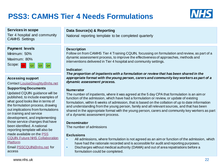# **PSS3: CAMHS Tier 4 Needs Formulations**



#### **Services in scope**

Tier 4 hospital and community CAMHS Settings

#### **Payment levels**



#### **Accessing support**

Contact [LouiseDoughty@nhs.net](mailto:LouiseDoughty@nhs.net)

#### **Supporting Documents**

Updated CQUIN guidance will be published, to include examples of what good looks like in terms of the formulation process, drawing out implications from formulations on training and service development, and implementing those service changes that have been identified. A national reporting template will also be made available on the PSS [CQUIN Future NHS Collaboration](https://future.nhs.uk/CQUINimp/view?objectID=17835888)  Platform

Email [PSSCQUIN@nhs.net](mailto:PSSCQUIN@nhs.net) for access

#### **Data Source(s) & Reporting**

National reporting template to be completed quarterly

#### **Description**

Follow on from CAMHS Tier 4 Training CQUIN, focussing on formulation and review, as part of a dynamic assessment process, to improve the effectiveness of approaches, methods and interventions delivered in Tier 4 hospital and community settings.

#### **Indicator:**

*The proportion of inpatients with a formulation or review that has been shared in the appropriate format with the young person, carers and community key workers as part of a dynamic assessment process.*

#### **Numerator**

The number of inpatients, where it was agreed at the 5 day CPA that formulation is an aim or function of the admission, which have had a formulation or review, or update of existing formulation, within 6 weeks of admission, that is based on the collation of up to date information and understanding from the young person, family and all relevant sources, and that has been shared in the appropriate format with the young person, carers and community key workers as part of a dynamic assessment process.

#### **Denominator**

The number of admissions

#### **Exclusions**

- All admissions, where formulation is not agreed as an aim or function of the admission, which have had the rationale recorded and is accessible for audit and reporting purposes.
- Discharges without medical authority (DAMA) and out of area repatriations before a formulation could be completed.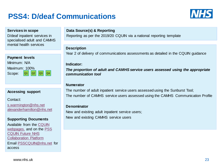# **PSS4: D/deaf Communications**



#### **Services in scope**

D/deaf inpatient services in specialised adult and CAMHS mental health services

| <b>Payment levels</b> |  |             |  |  |
|-----------------------|--|-------------|--|--|
| Minimum: N/A          |  |             |  |  |
| Maximum: 100%         |  |             |  |  |
| Scope:                |  | Q1 Q2 Q3 Q4 |  |  |
|                       |  |             |  |  |

#### **Accessing support**

Contact:

[s.warmington@nhs.net](mailto:s.warmington@nhs.net) [alexanderhamilton@nhs.net](mailto:alexanderhamilton@nhs.net)

#### **Supporting Documents**

[Available from the CQUIN](https://www.england.nhs.uk/publication/pss6-mental-health-ddeaf-communications-assessment-pss-cquin/)  webpages. and on the PSS CQUIN Future NHS [Collaboration Platform](https://future.nhs.uk/CQUINimp/view?objectID=17835888)  Email [PSSCQUIN@nhs.net](mailto:PSSCQUIN@nhs.net) for access

#### **Data Source(s) & Reporting**

Reporting as per the 2019/20 CQUIN via a national reporting template

#### **Description**

Year 2 of delivery of communications assessments as detailed in the CQUIN guidance

#### **Indicator:**

*The proportion of adult and CAMHS service users assessed using the appropriate communication tool*

#### **Numerator**

The number of adult inpatient service users assessed using the Sunburst Tool; The number of CAMHS service users assessed using the CAMHS Communication Profile

#### **Denominator**

New and existing adult inpatient service users; New and existing CAMHS service users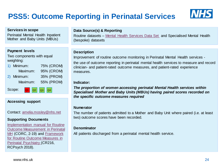# **PSS5: Outcome Reporting in Perinatal Services**

 $\overline{a}$   $\overline{b}$   $\overline{c}$   $\overline{d}$   $\overline{d}$   $\overline{d}$   $\overline{d}$   $\overline{d}$   $\overline{d}$   $\overline{d}$   $\overline{d}$   $\overline{d}$   $\overline{d}$   $\overline{d}$   $\overline{d}$   $\overline{d}$   $\overline{d}$   $\overline{d}$   $\overline{d}$   $\overline{d}$   $\overline{d}$   $\overline{d}$   $\overline{d}$   $\overline{d}$   $\overline{$ 



| <b>ORTAINES III SUUPE</b><br>Perinatal Mental Health Inpatient<br>Mother and Baby Units (MBUs)                                                                                                              | Data Source(s) & Reporting<br>Routine datasets – Mental Health Services Data Set and Specialised Mental Health<br>(bespoke) datasets                                                                                                                                                                                                                                                                                                                                |
|-------------------------------------------------------------------------------------------------------------------------------------------------------------------------------------------------------------|---------------------------------------------------------------------------------------------------------------------------------------------------------------------------------------------------------------------------------------------------------------------------------------------------------------------------------------------------------------------------------------------------------------------------------------------------------------------|
| <b>Payment levels</b><br>Two components with equal<br>weighting:<br>1) Minimum:<br>75% (CROM)<br>95% (CROM)<br>Maximum:<br>35% (PROM)<br>2) Minimum:<br>Maximum:<br>55% (PROM)<br>Scope:<br>$\overline{Q4}$ | <b>Description</b><br>Improvement of routine outcome monitoring in Perinatal Mental Health services -<br>the use of outcome reporting in perinatal mental health services to measure and record<br>clinician- and patient-rated outcome measures, and patient-rated experience<br>measures.<br>Indicator:<br>The proportion of women accessing perinatal Mental Health services within<br>Specialised Mother and Baby Units (MBUs) having paired scores recorded on |
|                                                                                                                                                                                                             | the specific outcome measures required                                                                                                                                                                                                                                                                                                                                                                                                                              |
|                                                                                                                                                                                                             |                                                                                                                                                                                                                                                                                                                                                                                                                                                                     |

#### **Numerator**

The number of patients admitted to a Mother and Baby Unit where paired (i.e. at least two) outcome scores have been recorded.

#### **Denominator**

All patients discharged from a perinatal mental health service.

#### **Services in scope**

#### **Accessing support**

Contact: [amelia.mosley@nhs.net](mailto:amelia.mosley@nhs.net)

#### **Supporting Documents**

Implementation manual for Routine [Outcome Measurement in Perinatal](https://www.england.nhs.uk/wp-content/uploads/2019/12/Implementing-routine-outcome-monitoring-in-specialist-mental-health-services.pdf)  MH (CORC, 2-19) and Framework [for Routine Outcome Measures in](https://www.rcpsych.ac.uk/docs/default-source/improving-care/better-mh-policy/college-reports/college-report-cr216.pdf?sfvrsn=12b1e81c_2)  Perinatal Psychiatry (CR216, RCPsych 2018).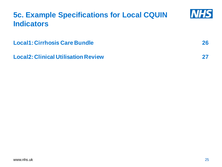# **NHS 5c. Example Specifications for Local CQUIN Indicators Local1: Cirrhosis Care Bundle 26 Local2: Clinical Utilisation Review 27**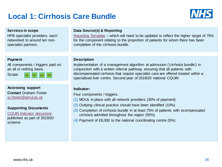### **Local 1: Cirrhosis Care Bundle**



#### **Services in scope**

HPB specialist providers, each networked to around ten nonspecialist partners.

#### **Payment**

All components / triggers paid on an all or nothing basis.

 $Scope:$   $Q1$   $Q2$   $Q3$   $Q4$ 

**Accessing support Contact** Graham Foster [g.r.foster@qmul.ac.uk](mailto:g.r.foster@qmul.ac.uk)

#### **Supporting Documents**

[CQUIN Indicator document](https://www.england.nhs.uk/publication/pss14-cirrhosis-care-bundle-pss-cquin-indicator/)  published as part of 2019/20 scheme

#### **Data Source(s) & Reporting**

[Reporting Template](https://www.england.nhs.uk/publication/pss14-cirrhosis-care-bundle-pss-cquin-indicator/) – which will need to be updated to reflect the higher target of 75% for the component relating to the proportion of patients for whom there has been completion of the cirrhosis bundle.

#### **Description**

Implementation of a management algorithm at admission ('cirrhosis bundle') in conjunction with a written referral pathway, ensuring that all patients with decompensated cirrhosis that require specialist care are offered treated within a specialised liver centre. Second year of 2019/20 national CQUIN

#### **Indicator:**

Four components / triggers:

- (1) MOUs in place with all network providers (30% of payment)
- (2) Outlying clinical practice should have been identified (10%)
- (3) Completion of cirrhosis bundle in at least 75% of patients with ecompensated cirrhosis admitted throughout the region (55%)
- (4) Payment of £8,000 to the national coordinating centre (5%)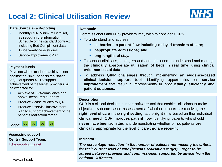# **Local 2: Clinical Utilisation Review**



#### **Data Source(s) & Reporting**

- Monthly CUR Minimum Data set, as set out in the Information Schedule of the standard contract. including Bed Compliment data
- Twice yearly case studies
- Service Improvement Plan

#### **Payment levels**

Payment will be made for achievement against the 20/21 benefits realisation target at quarter 4. To support achievement of the target, providers will be expected to:

- Achieve of 85% compliance and above, measured quarterly.
- **Produce 2 case studies by Q4**
- **•** Produce a service improvement plan to support achievement of the benefits realisation target.



#### **Accessing support Central Support Team:**

[H.Heywood@nhs.net](mailto:h.Heywood@nhs.net)

www.nhs.uk

#### **Rationale**

Commissioners and NHS providers may wish to consider CUR:-

- To understand and address:
	- the **barriers to patient flow including delayed transfers of care;**
	- **inappropriate admissions; and**
	- **long lengths of stay.**
- To support clinicians, managers and commissioners to understand and manage the **clinically appropriate utilisation of beds in real time**, using **clinical evidence-based data**
- To address **QIPP challenges** through implementing an **evidence-based clinical-decision support tool**, identifying opportunities for **service improvement** that result in improvements in **productivity, efficiency and patient outcomes.**

#### **Description**

CUR is a clinical decision support software tool that enables clinicians to make objective, evidence-based assessments of whether patients are receiving the **right level of care** in the **right setting**, at the **right time** based on their individual **clinical need**. CUR **improves patient flow**, identifying patients who should **never have been admitted** and demonstrating whether or not patients are **clinically appropriate** for the level of care they are receiving.

#### **Indicator:**

*The percentage reduction in the number of patients not meeting the criteria for their current level of care (benefits realisation target). Target to be agreed between provider and commissioner, supported by advice from the national CUR team.*